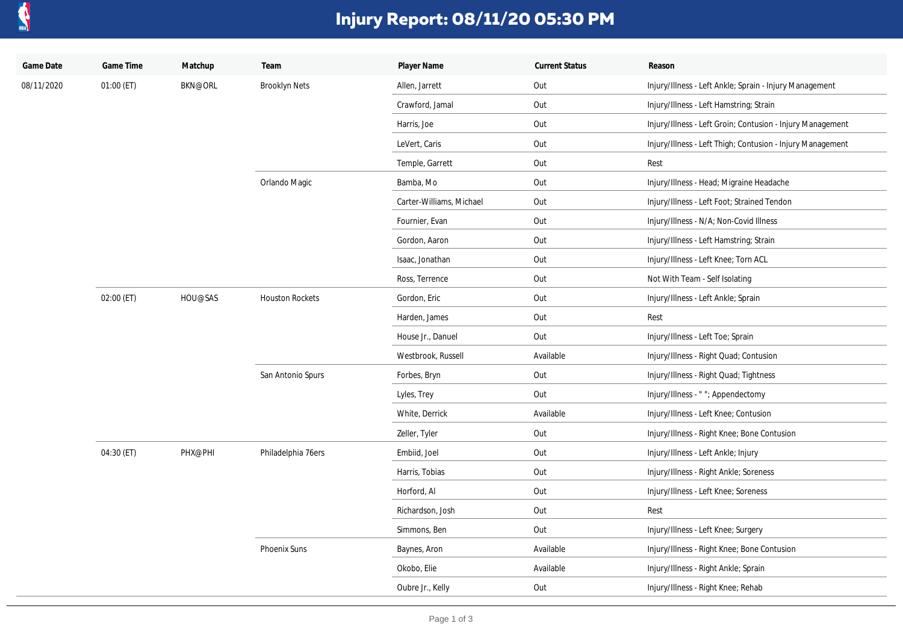

## **Injury Report: 08/11/20 05:30 PM**

| Game Date  | Game Time  | Matchup        | Team                   | Player Name              | <b>Current Status</b> | Reason                                                     |
|------------|------------|----------------|------------------------|--------------------------|-----------------------|------------------------------------------------------------|
| 08/11/2020 | 01:00 (ET) | <b>BKN@ORL</b> | <b>Brooklyn Nets</b>   | Allen, Jarrett           | Out                   | Injury/Illness - Left Ankle; Sprain - Injury Management    |
|            |            |                |                        | Crawford, Jamal          | Out                   | Injury/Illness - Left Hamstring; Strain                    |
|            |            |                |                        | Harris, Joe              | Out                   | Injury/Illness - Left Groin; Contusion - Injury Management |
|            |            |                |                        | LeVert, Caris            | Out                   | Injury/Illness - Left Thigh; Contusion - Injury Management |
|            |            |                |                        | Temple, Garrett          | Out                   | Rest                                                       |
|            |            |                | Orlando Magic          | Bamba, Mo                | Out                   | Injury/Illness - Head; Migraine Headache                   |
|            |            |                |                        | Carter-Williams, Michael | Out                   | Injury/Illness - Left Foot; Strained Tendon                |
|            |            |                |                        | Fournier, Evan           | Out                   | Injury/Illness - N/A; Non-Covid Illness                    |
|            |            |                |                        | Gordon, Aaron            | Out                   | Injury/Illness - Left Hamstring; Strain                    |
|            |            |                |                        | Isaac, Jonathan          | Out                   | Injury/Illness - Left Knee; Torn ACL                       |
|            |            |                |                        | Ross, Terrence           | Out                   | Not With Team - Self Isolating                             |
|            | 02:00 (ET) | HOU@SAS        | <b>Houston Rockets</b> | Gordon, Eric             | Out                   | Injury/Illness - Left Ankle; Sprain                        |
|            |            |                |                        | Harden, James            | Out                   | Rest                                                       |
|            |            |                |                        | House Jr., Danuel        | Out                   | Injury/Illness - Left Toe; Sprain                          |
|            |            |                |                        | Westbrook, Russell       | Available             | Injury/Illness - Right Quad; Contusion                     |
|            |            |                | San Antonio Spurs      | Forbes, Bryn             | Out                   | Injury/Illness - Right Quad; Tightness                     |
|            |            |                |                        | Lyles, Trey              | Out                   | Injury/Illness - ""; Appendectomy                          |
|            |            |                |                        | White, Derrick           | Available             | Injury/Illness - Left Knee; Contusion                      |
|            |            |                |                        | Zeller, Tyler            | Out                   | Injury/Illness - Right Knee; Bone Contusion                |
|            | 04:30 (ET) | PHX@PHI        | Philadelphia 76ers     | Embiid, Joel             | Out                   | Injury/Illness - Left Ankle; Injury                        |
|            |            |                |                        | Harris, Tobias           | Out                   | Injury/Illness - Right Ankle; Soreness                     |
|            |            |                |                        | Horford, Al              | Out                   | Injury/Illness - Left Knee; Soreness                       |
|            |            |                |                        | Richardson, Josh         | Out                   | Rest                                                       |
|            |            |                |                        | Simmons, Ben             | Out                   | Injury/Illness - Left Knee; Surgery                        |
|            |            |                | Phoenix Suns           | Baynes, Aron             | Available             | Injury/Illness - Right Knee; Bone Contusion                |
|            |            |                |                        | Okobo, Elie              | Available             | Injury/Illness - Right Ankle; Sprain                       |
|            |            |                |                        | Oubre Jr., Kelly         | Out                   | Injury/Illness - Right Knee; Rehab                         |
|            |            |                |                        |                          |                       |                                                            |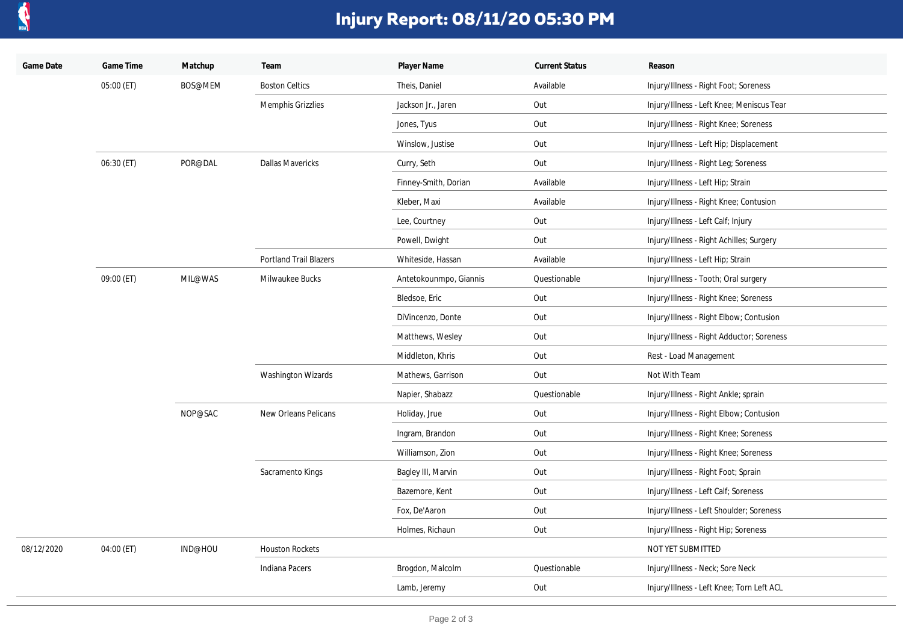

## **Injury Report: 08/11/20 05:30 PM**

| Game Date  | Game Time  | Matchup | Team                          | Player Name            | <b>Current Status</b> | Reason                                    |
|------------|------------|---------|-------------------------------|------------------------|-----------------------|-------------------------------------------|
|            | 05:00 (ET) | BOS@MEM | <b>Boston Celtics</b>         | Theis, Daniel          | Available             | Injury/Illness - Right Foot; Soreness     |
|            |            |         | Memphis Grizzlies             | Jackson Jr., Jaren     | Out                   | Injury/Illness - Left Knee; Meniscus Tear |
|            |            |         |                               | Jones, Tyus            | Out                   | Injury/Illness - Right Knee; Soreness     |
|            |            |         |                               | Winslow, Justise       | Out                   | Injury/Illness - Left Hip; Displacement   |
|            | 06:30 (ET) | POR@DAL | <b>Dallas Mavericks</b>       | Curry, Seth            | Out                   | Injury/Illness - Right Leg; Soreness      |
|            |            |         |                               | Finney-Smith, Dorian   | Available             | Injury/Illness - Left Hip; Strain         |
|            |            |         |                               | Kleber, Maxi           | Available             | Injury/Illness - Right Knee; Contusion    |
|            |            |         |                               | Lee, Courtney          | Out                   | Injury/Illness - Left Calf; Injury        |
|            |            |         |                               | Powell, Dwight         | Out                   | Injury/Illness - Right Achilles; Surgery  |
|            |            |         | <b>Portland Trail Blazers</b> | Whiteside, Hassan      | Available             | Injury/Illness - Left Hip; Strain         |
|            | 09:00 (ET) | MIL@WAS | Milwaukee Bucks               | Antetokounmpo, Giannis | Questionable          | Injury/Illness - Tooth; Oral surgery      |
|            |            |         |                               | Bledsoe, Eric          | Out                   | Injury/Illness - Right Knee; Soreness     |
|            |            |         |                               | DiVincenzo, Donte      | Out                   | Injury/Illness - Right Elbow; Contusion   |
|            |            |         |                               | Matthews, Wesley       | Out                   | Injury/Illness - Right Adductor; Soreness |
|            |            |         |                               | Middleton, Khris       | Out                   | Rest - Load Management                    |
|            |            |         | <b>Washington Wizards</b>     | Mathews, Garrison      | Out                   | Not With Team                             |
|            |            |         |                               | Napier, Shabazz        | Questionable          | Injury/Illness - Right Ankle; sprain      |
|            |            | NOP@SAC | New Orleans Pelicans          | Holiday, Jrue          | Out                   | Injury/Illness - Right Elbow; Contusion   |
|            |            |         |                               | Ingram, Brandon        | Out                   | Injury/Illness - Right Knee; Soreness     |
|            |            |         |                               | Williamson, Zion       | Out                   | Injury/Illness - Right Knee; Soreness     |
|            |            |         | Sacramento Kings              | Bagley III, Marvin     | Out                   | Injury/Illness - Right Foot; Sprain       |
|            |            |         |                               | Bazemore, Kent         | Out                   | Injury/Illness - Left Calf; Soreness      |
|            |            |         |                               | Fox, De'Aaron          | Out                   | Injury/Illness - Left Shoulder; Soreness  |
|            |            |         |                               | Holmes, Richaun        | Out                   | Injury/Illness - Right Hip; Soreness      |
| 08/12/2020 | 04:00 (ET) | IND@HOU | <b>Houston Rockets</b>        |                        |                       | NOT YET SUBMITTED                         |
|            |            |         | Indiana Pacers                | Brogdon, Malcolm       | Questionable          | Injury/Illness - Neck; Sore Neck          |
|            |            |         |                               | Lamb, Jeremy           | Out                   | Injury/Illness - Left Knee; Torn Left ACL |
|            |            |         |                               |                        |                       |                                           |